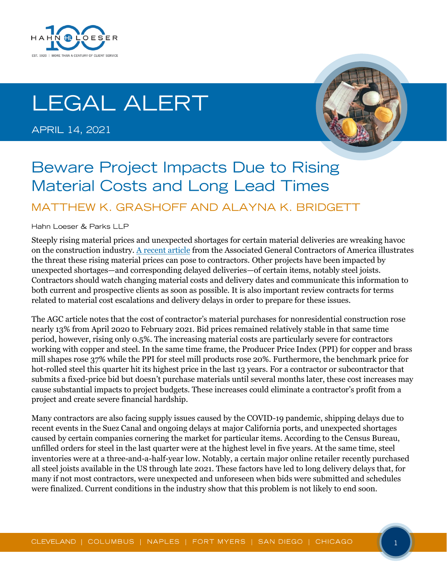

# **LEGAL ALERT**

**APRIL 14, 2021** 



## **Beware Project Impacts Due to Rising Material Costs and Long Lead Times**

#### MATTHEW K. GRASHOFF AND ALAYNA K. BRIDGETT

Hahn Loeser & Parks LLP

Steeply rising material prices and unexpected shortages for certain material deliveries are wreaking havoc on the construction industry. [A recent article](https://www.agc.org/sites/default/files/AGC%202021%20Inflation%20Alert%20-%20Ver1.1.pdf) from the Associated General Contractors of America illustrates the threat these rising material prices can pose to contractors. Other projects have been impacted by unexpected shortages—and corresponding delayed deliveries—of certain items, notably steel joists. Contractors should watch changing material costs and delivery dates and communicate this information to both current and prospective clients as soon as possible. It is also important review contracts for terms related to material cost escalations and delivery delays in order to prepare for these issues.

The AGC article notes that the cost of contractor's material purchases for nonresidential construction rose nearly 13% from April 2020 to February 2021. Bid prices remained relatively stable in that same time period, however, rising only 0.5%. The increasing material costs are particularly severe for contractors working with copper and steel. In the same time frame, the Producer Price Index (PPI) for copper and brass mill shapes rose 37% while the PPI for steel mill products rose 20%. Furthermore, the benchmark price for hot-rolled steel this quarter hit its highest price in the last 13 years. For a contractor or subcontractor that submits a fixed-price bid but doesn't purchase materials until several months later, these cost increases may cause substantial impacts to project budgets. These increases could eliminate a contractor's profit from a project and create severe financial hardship.

Many contractors are also facing supply issues caused by the COVID-19 pandemic, shipping delays due to recent events in the Suez Canal and ongoing delays at major California ports, and unexpected shortages caused by certain companies cornering the market for particular items. According to the Census Bureau, unfilled orders for steel in the last quarter were at the highest level in five years. At the same time, steel inventories were at a three-and-a-half-year low. Notably, a certain major online retailer recently purchased all steel joists available in the US through late 2021. These factors have led to long delivery delays that, for many if not most contractors, were unexpected and unforeseen when bids were submitted and schedules were finalized. Current conditions in the industry show that this problem is not likely to end soon.